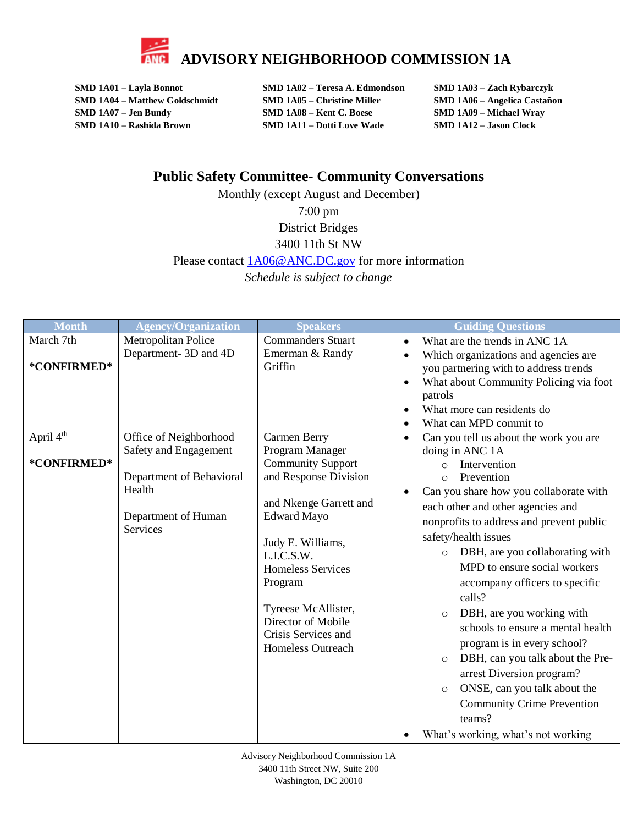

**SMD 1A01 – Layla Bonnot SMD 1A02 – Teresa A. Edmondson SMD 1A03 – Zach Rybarczyk SMD 1A04 – Matthew Goldschmidt SMD 1A05 – Christine Miller SMD 1A06 – Angelica Castañon SMD 1A07 – Jen Bundy SMD 1A08 – Kent C. Boese SMD 1A09 – Michael Wray SMD 1A10 – Rashida Brown SMD 1A11 – Dotti Love Wade SMD 1A12 – Jason Clock**

## **Public Safety Committee- Community Conversations**

Monthly (except August and December) 7:00 pm District Bridges 3400 11th St NW Please contact  $1A06@ANC.DC.gov$  for more information *Schedule is subject to change*

| <b>Month</b>          | <b>Agency/Organization</b>                                                                     | <b>Speakers</b>                                                                                                                                                                                                                                                                                | <b>Guiding Questions</b>                                                                                                                                                                                                                                                                                                                                                                                                                                                                                                                                                                                                  |
|-----------------------|------------------------------------------------------------------------------------------------|------------------------------------------------------------------------------------------------------------------------------------------------------------------------------------------------------------------------------------------------------------------------------------------------|---------------------------------------------------------------------------------------------------------------------------------------------------------------------------------------------------------------------------------------------------------------------------------------------------------------------------------------------------------------------------------------------------------------------------------------------------------------------------------------------------------------------------------------------------------------------------------------------------------------------------|
| March 7th             | Metropolitan Police                                                                            | <b>Commanders Stuart</b>                                                                                                                                                                                                                                                                       | What are the trends in ANC 1A                                                                                                                                                                                                                                                                                                                                                                                                                                                                                                                                                                                             |
| *CONFIRMED*           | Department- 3D and 4D                                                                          | Emerman & Randy<br>Griffin                                                                                                                                                                                                                                                                     | Which organizations and agencies are<br>you partnering with to address trends<br>What about Community Policing via foot<br>$\bullet$<br>patrols<br>What more can residents do<br>$\bullet$<br>What can MPD commit to                                                                                                                                                                                                                                                                                                                                                                                                      |
| April 4 <sup>th</sup> | Office of Neighborhood                                                                         | Carmen Berry                                                                                                                                                                                                                                                                                   | Can you tell us about the work you are<br>$\bullet$                                                                                                                                                                                                                                                                                                                                                                                                                                                                                                                                                                       |
| *CONFIRMED*           | Safety and Engagement<br>Department of Behavioral<br>Health<br>Department of Human<br>Services | Program Manager<br><b>Community Support</b><br>and Response Division<br>and Nkenge Garrett and<br><b>Edward Mayo</b><br>Judy E. Williams,<br>L.I.C.S.W.<br><b>Homeless Services</b><br>Program<br>Tyreese McAllister,<br>Director of Mobile<br>Crisis Services and<br><b>Homeless Outreach</b> | doing in ANC 1A<br>Intervention<br>$\Omega$<br>Prevention<br>$\circ$<br>Can you share how you collaborate with<br>each other and other agencies and<br>nonprofits to address and prevent public<br>safety/health issues<br>DBH, are you collaborating with<br>$\circ$<br>MPD to ensure social workers<br>accompany officers to specific<br>calls?<br>DBH, are you working with<br>$\circ$<br>schools to ensure a mental health<br>program is in every school?<br>DBH, can you talk about the Pre-<br>$\circ$<br>arrest Diversion program?<br>ONSE, can you talk about the<br>$\circ$<br><b>Community Crime Prevention</b> |
|                       |                                                                                                |                                                                                                                                                                                                                                                                                                | teams?<br>What's working, what's not working                                                                                                                                                                                                                                                                                                                                                                                                                                                                                                                                                                              |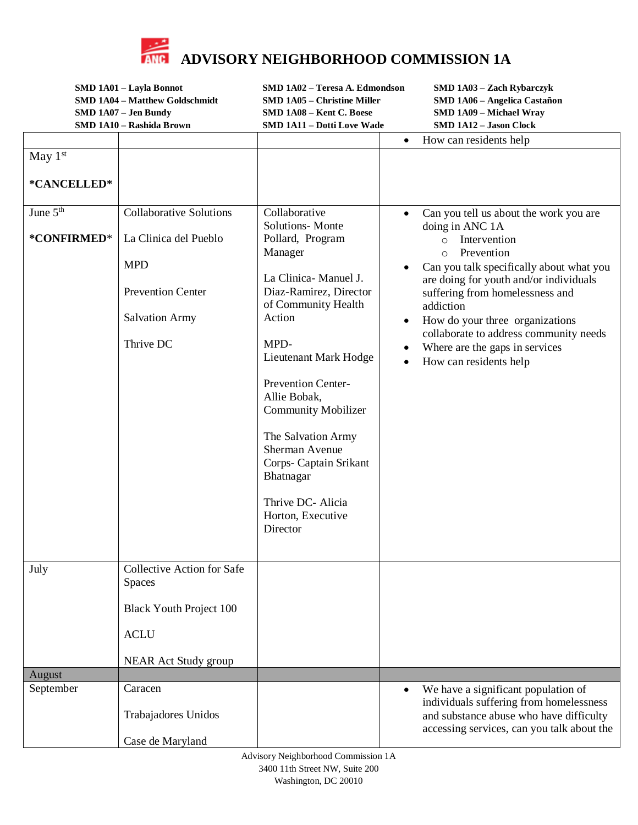

**SMD 1A01 – Layla Bonnot SMD 1A02 – Teresa A. Edmondson SMD 1A03 – Zach Rybarczyk SMD 1A04 – Matthew Goldschmidt SMD 1A05 – Christine Miller SMD 1A06 – Angelica Castañon SMD 1A07 – Jen Bundy SMD 1A08 – Kent C. Boese SMD 1A09 – Michael Wray SMD 1A10 – Rashida Brown SMD 1A11 – Dotti Love Wade SMD 1A12 – Jason Clock**

|                      |                                   |                               | How can residents help                                                   |
|----------------------|-----------------------------------|-------------------------------|--------------------------------------------------------------------------|
| May $1st$            |                                   |                               |                                                                          |
|                      |                                   |                               |                                                                          |
| *CANCELLED*          |                                   |                               |                                                                          |
| June 5 <sup>th</sup> | <b>Collaborative Solutions</b>    | Collaborative                 |                                                                          |
|                      |                                   | <b>Solutions-</b> Monte       | Can you tell us about the work you are<br>$\bullet$<br>doing in ANC 1A   |
| *CONFIRMED*          | La Clinica del Pueblo             | Pollard, Program              | o Intervention                                                           |
|                      |                                   | Manager                       | Prevention<br>$\circ$                                                    |
|                      | <b>MPD</b>                        |                               | Can you talk specifically about what you                                 |
|                      |                                   | La Clinica-Manuel J.          | are doing for youth and/or individuals                                   |
|                      | <b>Prevention Center</b>          | Diaz-Ramirez, Director        | suffering from homelessness and                                          |
|                      |                                   | of Community Health           | addiction                                                                |
|                      | <b>Salvation Army</b>             | Action                        | How do your three organizations                                          |
|                      | Thrive DC                         | MPD-                          | collaborate to address community needs<br>Where are the gaps in services |
|                      |                                   | Lieutenant Mark Hodge         | How can residents help<br>$\bullet$                                      |
|                      |                                   |                               |                                                                          |
|                      |                                   | <b>Prevention Center-</b>     |                                                                          |
|                      |                                   | Allie Bobak,                  |                                                                          |
|                      |                                   | <b>Community Mobilizer</b>    |                                                                          |
|                      |                                   | The Salvation Army            |                                                                          |
|                      |                                   | Sherman Avenue                |                                                                          |
|                      |                                   | Corps- Captain Srikant        |                                                                          |
|                      |                                   | Bhatnagar                     |                                                                          |
|                      |                                   |                               |                                                                          |
|                      |                                   | Thrive DC- Alicia             |                                                                          |
|                      |                                   | Horton, Executive<br>Director |                                                                          |
|                      |                                   |                               |                                                                          |
|                      |                                   |                               |                                                                          |
| July                 | <b>Collective Action for Safe</b> |                               |                                                                          |
|                      | Spaces                            |                               |                                                                          |
|                      |                                   |                               |                                                                          |
|                      | <b>Black Youth Project 100</b>    |                               |                                                                          |
|                      | <b>ACLU</b>                       |                               |                                                                          |
|                      |                                   |                               |                                                                          |
|                      | NEAR Act Study group              |                               |                                                                          |
| August               |                                   |                               |                                                                          |
| September            | Caracen                           |                               | We have a significant population of<br>$\bullet$                         |
|                      |                                   |                               | individuals suffering from homelessness                                  |
|                      | Trabajadores Unidos               |                               | and substance abuse who have difficulty                                  |
|                      |                                   |                               | accessing services, can you talk about the                               |